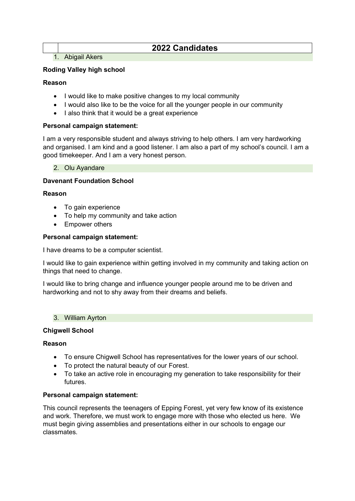**2022 Candidates**

1. Abigail Akers

# **Roding Valley high school**

## **Reason**

- I would like to make positive changes to my local community
- I would also like to be the voice for all the younger people in our community
- I also think that it would be a great experience

## **Personal campaign statement:**

I am a very responsible student and always striving to help others. I am very hardworking and organised. I am kind and a good listener. I am also a part of my school's council. I am a good timekeeper. And I am a very honest person.

2. Olu Ayandare

## **Davenant Foundation School**

### **Reason**

- To gain experience
- To help my community and take action
- Empower others

### **Personal campaign statement:**

I have dreams to be a computer scientist.

I would like to gain experience within getting involved in my community and taking action on things that need to change.

I would like to bring change and influence younger people around me to be driven and hardworking and not to shy away from their dreams and beliefs.

#### 3. William Ayrton

## **Chigwell School**

## **Reason**

- To ensure Chigwell School has representatives for the lower years of our school.
- To protect the natural beauty of our Forest.
- To take an active role in encouraging my generation to take responsibility for their futures.

## **Personal campaign statement:**

This council represents the teenagers of Epping Forest, yet very few know of its existence and work. Therefore, we must work to engage more with those who elected us here. We must begin giving assemblies and presentations either in our schools to engage our classmates.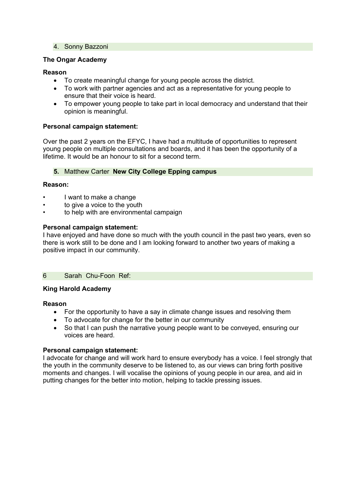4. Sonny Bazzoni

### **The Ongar Academy**

### **Reason**

- To create meaningful change for young people across the district.
- To work with partner agencies and act as a representative for young people to ensure that their voice is heard.
- To empower young people to take part in local democracy and understand that their opinion is meaningful.

### **Personal campaign statement:**

Over the past 2 years on the EFYC, I have had a multitude of opportunities to represent young people on multiple consultations and boards, and it has been the opportunity of a lifetime. It would be an honour to sit for a second term.

### **5.** Matthew Carter **New City College Epping campus**

### **Reason:**

- I want to make a change
- to give a voice to the youth
- to help with are environmental campaign

### **Personal campaign statement:**

I have enjoyed and have done so much with the youth council in the past two years, even so there is work still to be done and I am looking forward to another two years of making a positive impact in our community.

#### 6 Sarah Chu-Foon Ref:

#### **King Harold Academy**

#### **Reason**

- For the opportunity to have a say in climate change issues and resolving them
- To advocate for change for the better in our community
- So that I can push the narrative young people want to be conveyed, ensuring our voices are heard.

#### **Personal campaign statement:**

I advocate for change and will work hard to ensure everybody has a voice. I feel strongly that the youth in the community deserve to be listened to, as our views can bring forth positive moments and changes. I will vocalise the opinions of young people in our area, and aid in putting changes for the better into motion, helping to tackle pressing issues.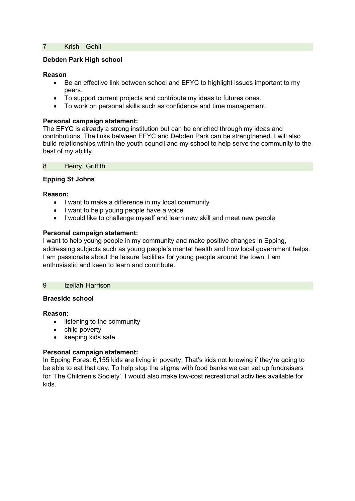#### 7 Krish Gohil

### **Debden Park High school**

#### **Reason**

- Be an effective link between school and EFYC to highlight issues important to my peers.
- To support current projects and contribute my ideas to futures ones.
- To work on personal skills such as confidence and time management.

### **Personal campaign statement:**

The EFYC is already a strong institution but can be enriched through my ideas and contributions. The links between EFYC and Debden Park can be strengthened. I will also build relationships within the youth council and my school to help serve the community to the best of my ability.

8 Henry Griffith

### **Epping St Johns**

#### **Reason:**

- I want to make a difference in my local community
- I want to help young people have a voice
- I would like to challenge myself and learn new skill and meet new people

### **Personal campaign statement:**

I want to help young people in my community and make positive changes in Epping, addressing subjects such as young people's mental health and how local government helps. I am passionate about the leisure facilities for young people around the town. I am enthusiastic and keen to learn and contribute.

## 9 Izellah Harrison

### **Braeside school**

#### **Reason:**

- listening to the community
- child poverty
- keeping kids safe

## **Personal campaign statement:**

In Epping Forest 6,155 kids are living in poverty. That's kids not knowing if they're going to be able to eat that day. To help stop the stigma with food banks we can set up fundraisers for 'The Children's Society'. I would also make low-cost recreational activities available for kids.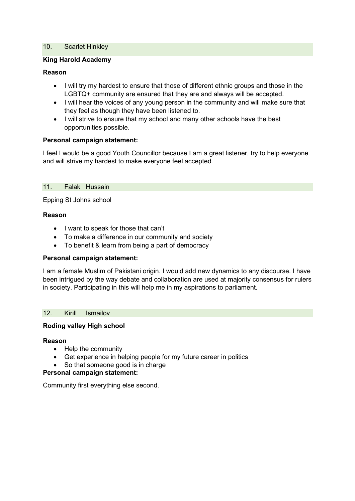#### 10. Scarlet Hinkley

## **King Harold Academy**

## **Reason**

- I will try my hardest to ensure that those of different ethnic groups and those in the LGBTQ+ community are ensured that they are and always will be accepted.
- I will hear the voices of any young person in the community and will make sure that they feel as though they have been listened to.
- I will strive to ensure that my school and many other schools have the best opportunities possible.

### **Personal campaign statement:**

I feel I would be a good Youth Councillor because I am a great listener, try to help everyone and will strive my hardest to make everyone feel accepted.

### 11. Falak Hussain

Epping St Johns school

### **Reason**

- I want to speak for those that can't
- To make a difference in our community and society
- To benefit & learn from being a part of democracy

## **Personal campaign statement:**

I am a female Muslim of Pakistani origin. I would add new dynamics to any discourse. I have been intrigued by the way debate and collaboration are used at majority consensus for rulers in society. Participating in this will help me in my aspirations to parliament.

## 12. Kirill Ismailov

## **Roding valley High school**

#### **Reason**

- Help the community
- Get experience in helping people for my future career in politics
- So that someone good is in charge

#### **Personal campaign statement:**

Community first everything else second.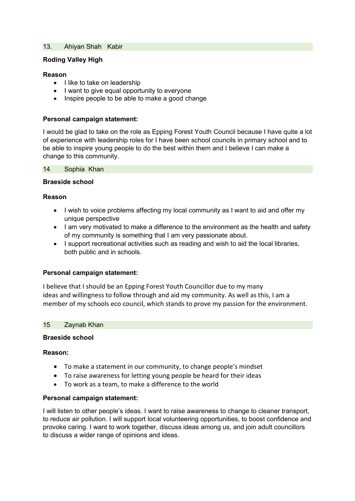### 13. Ahiyan Shah Kabir

## **Roding Valley High**

## **Reason**

- I like to take on leadership
- I want to give equal opportunity to everyone
- Inspire people to be able to make a good change

## **Personal campaign statement:**

I would be glad to take on the role as Epping Forest Youth Council because I have quite a lot of experience with leadership roles for I have been school councils in primary school and to be able to inspire young people to do the best within them and I believe I can make a change to this community.

14 Sophia Khan

## **Braeside school**

## **Reason**

- I wish to voice problems affecting my local community as I want to aid and offer my unique perspective
- I am very motivated to make a difference to the environment as the health and safety of my community is something that I am very passionate about.
- I support recreational activities such as reading and wish to aid the local libraries, both public and in schools.

## **Personal campaign statement:**

I believe that I should be an Epping Forest Youth Councillor due to my many ideas and willingness to follow through and aid my community. As well as this, I am a member of my schools eco council, which stands to prove my passion for the environment.

### 15 Zaynab Khan

#### **Braeside school**

#### **Reason:**

- To make a statement in our community, to change people's mindset
- To raise awareness for letting young people be heard for their ideas
- To work as a team, to make a difference to the world

#### **Personal campaign statement:**

I will listen to other people's ideas. I want to raise awareness to change to cleaner transport, to reduce air pollution. I will support local volunteering opportunities, to boost confidence and provoke caring. I want to work together, discuss ideas among us, and join adult councillors to discuss a wider range of opinions and ideas.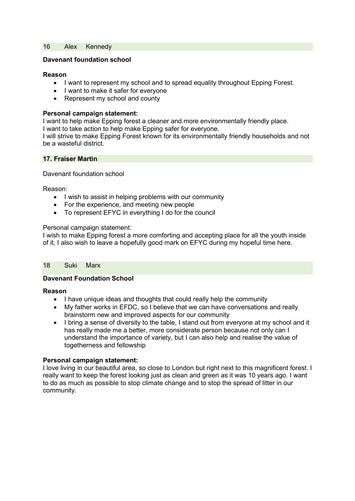#### 16 Alex Kennedy

### **Davenant foundation school**

### **Reason**

- I want to represent my school and to spread equality throughout Epping Forest.
- I want to make it safer for everyone
- Represent my school and county

## **Personal campaign statement:**

I want to help make Epping forest a cleaner and more environmentally friendly place.

I want to take action to help make Epping safer for everyone.

I will strive to make Epping Forest known for its environmentally friendly households and not be a wasteful district.

### **17. Fraiser Martin**

### Davenant foundation school

Reason:

- I wish to assist in helping problems with our community
- For the experience, and meeting new people
- To represent EFYC in everything I do for the council

### Personal campaign statement:

I wish to make Epping forest a more comforting and accepting place for all the youth inside of it, I also wish to leave a hopefully good mark on EFYC during my hopeful time here.

## 18 Suki Marx

## **Davenant Foundation School**

## **Reason**

- I have unique ideas and thoughts that could really help the community
- My father works in EFDC, so I believe that we can have conversations and really brainstorm new and improved aspects for our community
- I bring a sense of diversity to the table, I stand out from everyone at my school and it has really made me a better, more considerate person because not only can I understand the importance of variety, but I can also help and realise the value of togetherness and fellowship

## **Personal campaign statement:**

I love living in our beautiful area, so close to London but right next to this magnificent forest. I really want to keep the forest looking just as clean and green as it was 10 years ago. I want to do as much as possible to stop climate change and to stop the spread of litter in our community.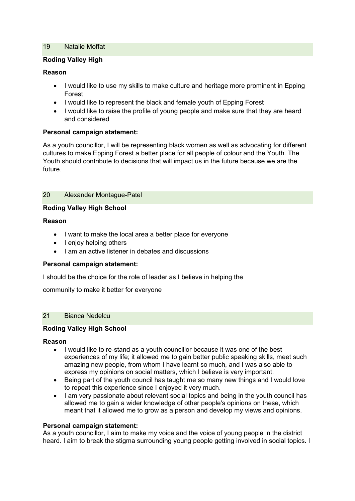### 19 Natalie Moffat

## **Roding Valley High**

## **Reason**

- I would like to use my skills to make culture and heritage more prominent in Epping Forest
- I would like to represent the black and female youth of Epping Forest
- I would like to raise the profile of young people and make sure that they are heard and considered

## **Personal campaign statement:**

As a youth councillor, I will be representing black women as well as advocating for different cultures to make Epping Forest a better place for all people of colour and the Youth. The Youth should contribute to decisions that will impact us in the future because we are the future.

## 20 Alexander Montague-Patel

### **Roding Valley High School**

### **Reason**

- I want to make the local area a better place for everyone
- I enjoy helping others
- I am an active listener in debates and discussions

#### **Personal campaign statement:**

I should be the choice for the role of leader as I believe in helping the

community to make it better for everyone

## 21 Bianca Nedelcu

### **Roding Valley High School**

#### **Reason**

- I would like to re-stand as a youth councillor because it was one of the best experiences of my life; it allowed me to gain better public speaking skills, meet such amazing new people, from whom I have learnt so much, and I was also able to express my opinions on social matters, which I believe is very important.
- Being part of the youth council has taught me so many new things and I would love to repeat this experience since I enjoyed it very much.
- I am very passionate about relevant social topics and being in the youth council has allowed me to gain a wider knowledge of other people's opinions on these, which meant that it allowed me to grow as a person and develop my views and opinions.

#### **Personal campaign statement:**

As a youth councillor, I aim to make my voice and the voice of young people in the district heard. I aim to break the stigma surrounding young people getting involved in social topics. I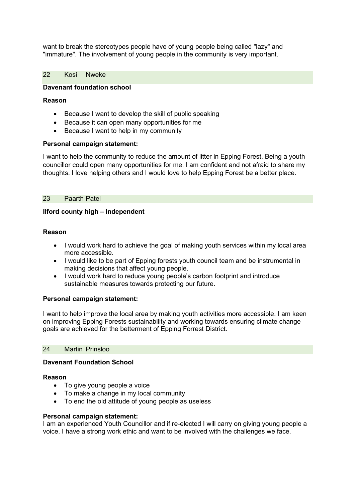want to break the stereotypes people have of young people being called "lazy" and "immature". The involvement of young people in the community is very important.

22 Kosi Nweke

## **Davenant foundation school**

### **Reason**

- Because I want to develop the skill of public speaking
- Because it can open many opportunities for me
- Because I want to help in my community

### **Personal campaign statement:**

I want to help the community to reduce the amount of litter in Epping Forest. Being a youth councillor could open many opportunities for me. I am confident and not afraid to share my thoughts. I love helping others and I would love to help Epping Forest be a better place.

### 23 Paarth Patel

## **Ilford county high – Independent**

### **Reason**

- I would work hard to achieve the goal of making youth services within my local area more accessible.
- I would like to be part of Epping forests youth council team and be instrumental in making decisions that affect young people.
- I would work hard to reduce young people's carbon footprint and introduce sustainable measures towards protecting our future.

## **Personal campaign statement:**

I want to help improve the local area by making youth activities more accessible. I am keen on improving Epping Forests sustainability and working towards ensuring climate change goals are achieved for the betterment of Epping Forrest District.

### 24 Martin Prinsloo

## **Davenant Foundation School**

#### **Reason**

- To give young people a voice
- To make a change in my local community
- To end the old attitude of young people as useless

#### **Personal campaign statement:**

I am an experienced Youth Councillor and if re-elected I will carry on giving young people a voice. I have a strong work ethic and want to be involved with the challenges we face.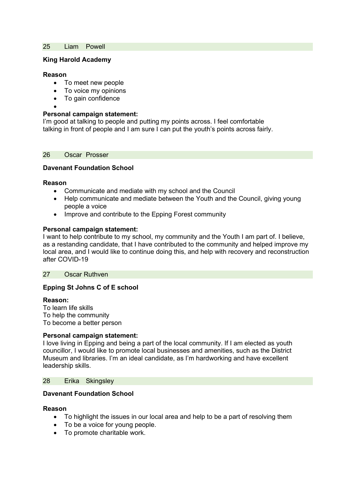#### 25 Liam Powell

### **King Harold Academy**

## **Reason**

- To meet new people
- To voice my opinions
- To gain confidence
- •

### **Personal campaign statement:**

I'm good at talking to people and putting my points across. I feel comfortable talking in front of people and I am sure I can put the youth's points across fairly.

26 Oscar Prosser

### **Davenant Foundation School**

#### **Reason**

- Communicate and mediate with my school and the Council
- Help communicate and mediate between the Youth and the Council, giving young people a voice
- Improve and contribute to the Epping Forest community

#### **Personal campaign statement:**

I want to help contribute to my school, my community and the Youth I am part of. I believe, as a restanding candidate, that I have contributed to the community and helped improve my local area, and I would like to continue doing this, and help with recovery and reconstruction after COVID-19

#### 27 Oscar Ruthven

## **Epping St Johns C of E school**

#### **Reason:**

To learn life skills To help the community To become a better person

#### **Personal campaign statement:**

I love living in Epping and being a part of the local community. If I am elected as youth councillor, I would like to promote local businesses and amenities, such as the District Museum and libraries. I'm an ideal candidate, as I'm hardworking and have excellent leadership skills.

### 28 Erika Skingsley

## **Davenant Foundation School**

## **Reason**

- To highlight the issues in our local area and help to be a part of resolving them
- To be a voice for young people.
- To promote charitable work.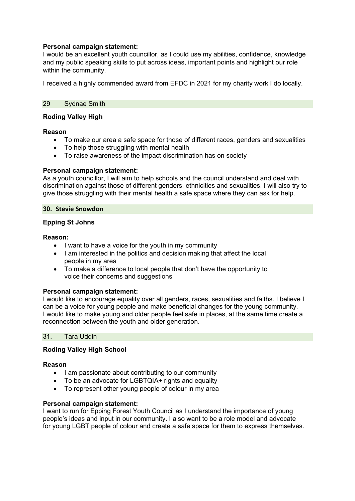## **Personal campaign statement:**

I would be an excellent youth councillor, as I could use my abilities, confidence, knowledge and my public speaking skills to put across ideas, important points and highlight our role within the community.

I received a highly commended award from EFDC in 2021 for my charity work I do locally.

#### 29 Sydnae Smith

## **Roding Valley High**

#### **Reason**

- To make our area a safe space for those of different races, genders and sexualities
- To help those struggling with mental health
- To raise awareness of the impact discrimination has on society

#### **Personal campaign statement:**

As a youth councillor, I will aim to help schools and the council understand and deal with discrimination against those of different genders, ethnicities and sexualities. I will also try to give those struggling with their mental health a safe space where they can ask for help.

#### **30. Stevie Snowdon**

### **Epping St Johns**

#### **Reason:**

- I want to have a voice for the youth in my community
- I am interested in the politics and decision making that affect the local people in my area
- To make a difference to local people that don't have the opportunity to voice their concerns and suggestions

#### **Personal campaign statement:**

I would like to encourage equality over all genders, races, sexualities and faiths. I believe I can be a voice for young people and make beneficial changes for the young community. I would like to make young and older people feel safe in places, at the same time create a reconnection between the youth and older generation.

## 31. Tara Uddin

#### **Roding Valley High School**

#### **Reason**

- I am passionate about contributing to our community
- To be an advocate for LGBTQIA+ rights and equality
- To represent other young people of colour in my area

#### **Personal campaign statement:**

I want to run for Epping Forest Youth Council as I understand the importance of young people's ideas and input in our community. I also want to be a role model and advocate for young LGBT people of colour and create a safe space for them to express themselves.